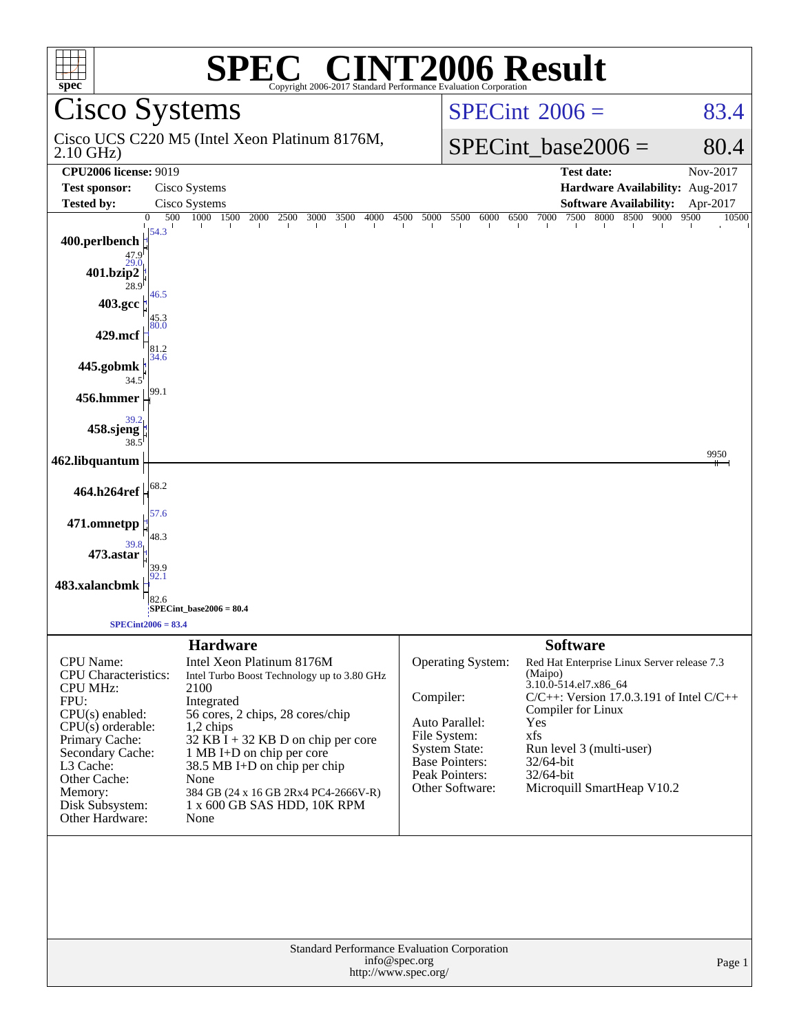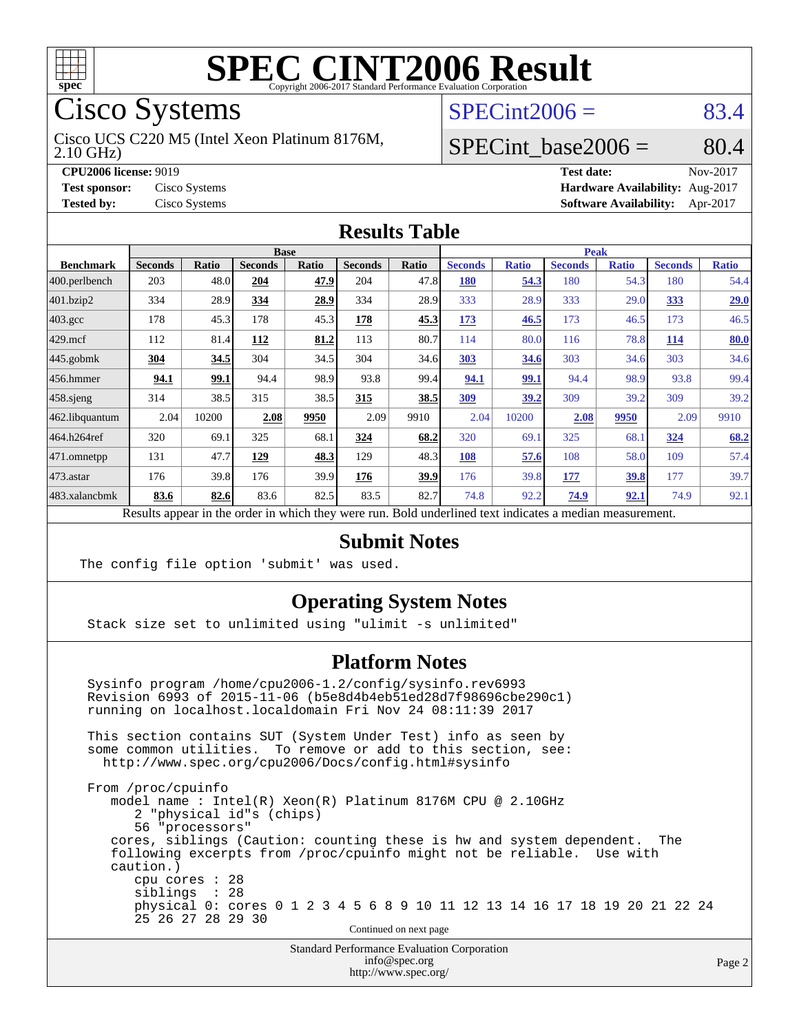

Cisco Systems

2.10 GHz) Cisco UCS C220 M5 (Intel Xeon Platinum 8176M,

 $SPECint2006 = 83.4$  $SPECint2006 = 83.4$ 

### SPECint base2006 =  $80.4$

**[CPU2006 license:](http://www.spec.org/auto/cpu2006/Docs/result-fields.html#CPU2006license)** 9019 **[Test date:](http://www.spec.org/auto/cpu2006/Docs/result-fields.html#Testdate)** Nov-2017 **[Test sponsor:](http://www.spec.org/auto/cpu2006/Docs/result-fields.html#Testsponsor)** Cisco Systems **[Hardware Availability:](http://www.spec.org/auto/cpu2006/Docs/result-fields.html#HardwareAvailability)** Aug-2017 **[Tested by:](http://www.spec.org/auto/cpu2006/Docs/result-fields.html#Testedby)** Cisco Systems **[Software Availability:](http://www.spec.org/auto/cpu2006/Docs/result-fields.html#SoftwareAvailability)** Apr-2017

#### **[Results Table](http://www.spec.org/auto/cpu2006/Docs/result-fields.html#ResultsTable)**

|                                                                                                          |                |              | <b>Base</b>    |              |                |              |                |              | <b>Peak</b>    |              |                |              |  |  |
|----------------------------------------------------------------------------------------------------------|----------------|--------------|----------------|--------------|----------------|--------------|----------------|--------------|----------------|--------------|----------------|--------------|--|--|
| <b>Benchmark</b>                                                                                         | <b>Seconds</b> | <b>Ratio</b> | <b>Seconds</b> | <b>Ratio</b> | <b>Seconds</b> | <b>Ratio</b> | <b>Seconds</b> | <b>Ratio</b> | <b>Seconds</b> | <b>Ratio</b> | <b>Seconds</b> | <b>Ratio</b> |  |  |
| $ 400$ .perlbench                                                                                        | 203            | 48.0         | 204            | 47.9         | 204            | 47.8         | <b>180</b>     | 54.3         | 180            | 54.3         | 180            | 54.4         |  |  |
| 401.bzip2                                                                                                | 334            | 28.9         | 334            | 28.9         | 334            | 28.9         | 333            | 28.9         | 333            | 29.0         | 333            | 29.0         |  |  |
| $403.\text{gcc}$                                                                                         | 178            | 45.3         | 178            | 45.3         | 178            | 45.3         | 173            | 46.5         | 173            | 46.5         | 173            | 46.5         |  |  |
| $429$ mcf                                                                                                | 112            | 81.4         | 112            | 81.2         | 113            | 80.7         | 114            | 80.0         | 116            | 78.8         | 114            | 80.0         |  |  |
| $445$ .gobmk                                                                                             | 304            | 34.5         | 304            | 34.5         | 304            | 34.6         | 303            | 34.6         | 303            | 34.6         | 303            | 34.6         |  |  |
| 456.hmmer                                                                                                | 94.1           | 99.1         | 94.4           | 98.9         | 93.8           | 99.4         | 94.1           | 99.1         | 94.4           | 98.9         | 93.8           | 99.4         |  |  |
| $458$ .sjeng                                                                                             | 314            | 38.5         | 315            | 38.5         | 315            | 38.5         | <u>309</u>     | 39.2         | 309            | 39.2         | 309            | 39.2         |  |  |
| 462.libquantum                                                                                           | 2.04           | 10200        | 2.08           | 9950         | 2.09           | 9910         | 2.04           | 10200        | 2.08           | 9950         | 2.09           | 9910         |  |  |
| 464.h264ref                                                                                              | 320            | 69.1         | 325            | 68.1         | 324            | 68.2         | 320            | 69.1         | 325            | 68.1         | 324            | 68.2         |  |  |
| $ 471$ .omnetpp                                                                                          | 131            | 47.7         | 129            | 48.3         | 129            | 48.3         | 108            | 57.6         | 108            | 58.0         | 109            | 57.4         |  |  |
| $473$ . astar                                                                                            | 176            | 39.8         | 176            | 39.9         | 176            | 39.9         | 176            | 39.8         | 177            | 39.8         | 177            | 39.7         |  |  |
| 483.xalancbmk                                                                                            | 83.6           | 82.6         | 83.6           | 82.5         | 83.5           | 82.7         | 74.8           | 92.2         | 74.9           | 92.1         | 74.9           | 92.1         |  |  |
| Results appear in the order in which they were run. Bold underlined text indicates a median measurement. |                |              |                |              |                |              |                |              |                |              |                |              |  |  |

### **[Submit Notes](http://www.spec.org/auto/cpu2006/Docs/result-fields.html#SubmitNotes)**

The config file option 'submit' was used.

### **[Operating System Notes](http://www.spec.org/auto/cpu2006/Docs/result-fields.html#OperatingSystemNotes)**

Stack size set to unlimited using "ulimit -s unlimited"

#### **[Platform Notes](http://www.spec.org/auto/cpu2006/Docs/result-fields.html#PlatformNotes)**

 Sysinfo program /home/cpu2006-1.2/config/sysinfo.rev6993 Revision 6993 of 2015-11-06 (b5e8d4b4eb51ed28d7f98696cbe290c1) running on localhost.localdomain Fri Nov 24 08:11:39 2017 This section contains SUT (System Under Test) info as seen by some common utilities. To remove or add to this section, see: <http://www.spec.org/cpu2006/Docs/config.html#sysinfo> From /proc/cpuinfo model name : Intel(R) Xeon(R) Platinum 8176M CPU @ 2.10GHz 2 "physical id"s (chips) 56 "processors"

 cores, siblings (Caution: counting these is hw and system dependent. The following excerpts from /proc/cpuinfo might not be reliable. Use with caution.) cpu cores : 28

siblings : 28

 physical 0: cores 0 1 2 3 4 5 6 8 9 10 11 12 13 14 16 17 18 19 20 21 22 24 25 26 27 28 29 30

Continued on next page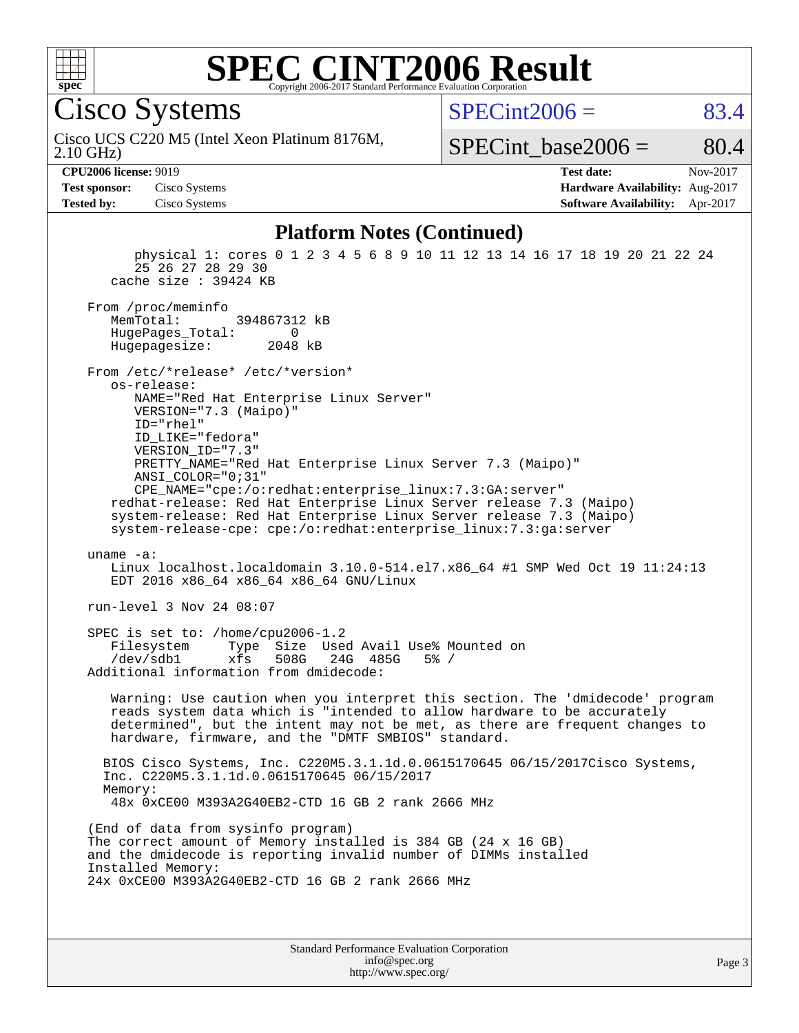

#### **[SPEC CINT2006 Result](http://www.spec.org/auto/cpu2006/Docs/result-fields.html#SPECCINT2006Result)** Copyright 2006-2017 Standard Performance Evaluation Corpora

Cisco Systems

 $SPECint2006 = 83.4$  $SPECint2006 = 83.4$ 

2.10 GHz) Cisco UCS C220 M5 (Intel Xeon Platinum 8176M,

SPECint base2006 =  $80.4$ 

**[Test sponsor:](http://www.spec.org/auto/cpu2006/Docs/result-fields.html#Testsponsor)** Cisco Systems **[Hardware Availability:](http://www.spec.org/auto/cpu2006/Docs/result-fields.html#HardwareAvailability)** Aug-2017

**[CPU2006 license:](http://www.spec.org/auto/cpu2006/Docs/result-fields.html#CPU2006license)** 9019 **[Test date:](http://www.spec.org/auto/cpu2006/Docs/result-fields.html#Testdate)** Nov-2017 **[Tested by:](http://www.spec.org/auto/cpu2006/Docs/result-fields.html#Testedby)** Cisco Systems **[Software Availability:](http://www.spec.org/auto/cpu2006/Docs/result-fields.html#SoftwareAvailability)** Apr-2017

#### **[Platform Notes \(Continued\)](http://www.spec.org/auto/cpu2006/Docs/result-fields.html#PlatformNotes)**

 physical 1: cores 0 1 2 3 4 5 6 8 9 10 11 12 13 14 16 17 18 19 20 21 22 24 25 26 27 28 29 30 cache size : 39424 KB From /proc/meminfo<br>MemTotal: 394867312 kB HugePages\_Total: 0<br>Hugepagesize: 2048 kB Hugepagesize: From /etc/\*release\* /etc/\*version\* os-release: NAME="Red Hat Enterprise Linux Server" VERSION="7.3 (Maipo)" ID="rhel" ID\_LIKE="fedora" VERSION\_ID="7.3" PRETTY\_NAME="Red Hat Enterprise Linux Server 7.3 (Maipo)" ANSI\_COLOR="0;31" CPE\_NAME="cpe:/o:redhat:enterprise\_linux:7.3:GA:server" redhat-release: Red Hat Enterprise Linux Server release 7.3 (Maipo) system-release: Red Hat Enterprise Linux Server release 7.3 (Maipo) system-release-cpe: cpe:/o:redhat:enterprise\_linux:7.3:ga:server uname -a: Linux localhost.localdomain 3.10.0-514.el7.x86\_64 #1 SMP Wed Oct 19 11:24:13 EDT 2016 x86\_64 x86\_64 x86\_64 GNU/Linux run-level 3 Nov 24 08:07 SPEC is set to: /home/cpu2006-1.2 Filesystem Type Size Used Avail Use% Mounted on<br>
/dev/sdb1 xfs 508G 24G 485G 5% / /dev/sdb1 xfs 508G 24G 485G 5% / Additional information from dmidecode: Warning: Use caution when you interpret this section. The 'dmidecode' program reads system data which is "intended to allow hardware to be accurately determined", but the intent may not be met, as there are frequent changes to hardware, firmware, and the "DMTF SMBIOS" standard. BIOS Cisco Systems, Inc. C220M5.3.1.1d.0.0615170645 06/15/2017Cisco Systems, Inc. C220M5.3.1.1d.0.0615170645 06/15/2017 Memory: 48x 0xCE00 M393A2G40EB2-CTD 16 GB 2 rank 2666 MHz (End of data from sysinfo program) The correct amount of Memory installed is 384 GB (24 x 16 GB) and the dmidecode is reporting invalid number of DIMMs installed Installed Memory: 24x 0xCE00 M393A2G40EB2-CTD 16 GB 2 rank 2666 MHz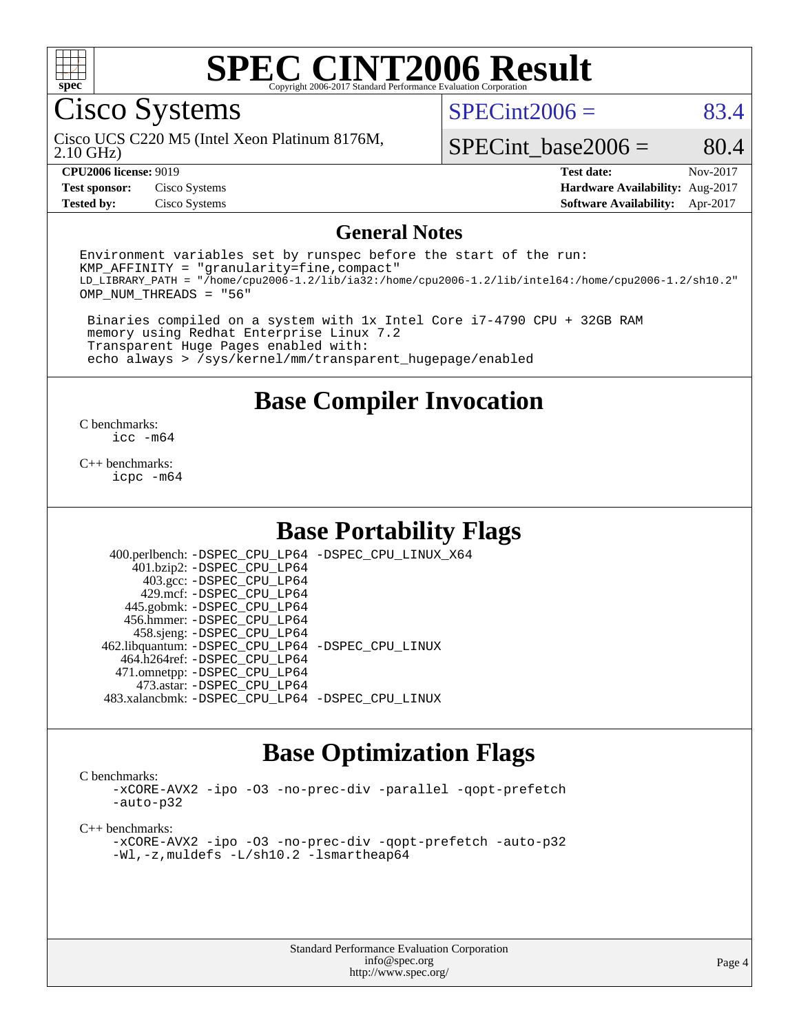

# Cisco Systems

2.10 GHz) Cisco UCS C220 M5 (Intel Xeon Platinum 8176M,  $SPECint2006 = 83.4$  $SPECint2006 = 83.4$ 

SPECint base2006 =  $80.4$ 

**[Test sponsor:](http://www.spec.org/auto/cpu2006/Docs/result-fields.html#Testsponsor)** Cisco Systems **[Hardware Availability:](http://www.spec.org/auto/cpu2006/Docs/result-fields.html#HardwareAvailability)** Aug-2017

**[CPU2006 license:](http://www.spec.org/auto/cpu2006/Docs/result-fields.html#CPU2006license)** 9019 **[Test date:](http://www.spec.org/auto/cpu2006/Docs/result-fields.html#Testdate)** Nov-2017 **[Tested by:](http://www.spec.org/auto/cpu2006/Docs/result-fields.html#Testedby)** Cisco Systems **[Software Availability:](http://www.spec.org/auto/cpu2006/Docs/result-fields.html#SoftwareAvailability)** Apr-2017

#### **[General Notes](http://www.spec.org/auto/cpu2006/Docs/result-fields.html#GeneralNotes)**

Environment variables set by runspec before the start of the run:  $KMP$  AFFINITY = "granularity=fine, compact" LD\_LIBRARY\_PATH = "/home/cpu2006-1.2/lib/ia32:/home/cpu2006-1.2/lib/intel64:/home/cpu2006-1.2/sh10.2" OMP\_NUM\_THREADS = "56"

 Binaries compiled on a system with 1x Intel Core i7-4790 CPU + 32GB RAM memory using Redhat Enterprise Linux 7.2 Transparent Huge Pages enabled with: echo always > /sys/kernel/mm/transparent\_hugepage/enabled

### **[Base Compiler Invocation](http://www.spec.org/auto/cpu2006/Docs/result-fields.html#BaseCompilerInvocation)**

[C benchmarks](http://www.spec.org/auto/cpu2006/Docs/result-fields.html#Cbenchmarks): [icc -m64](http://www.spec.org/cpu2006/results/res2017q4/cpu2006-20171128-50898.flags.html#user_CCbase_intel_icc_64bit_bda6cc9af1fdbb0edc3795bac97ada53)

[C++ benchmarks:](http://www.spec.org/auto/cpu2006/Docs/result-fields.html#CXXbenchmarks) [icpc -m64](http://www.spec.org/cpu2006/results/res2017q4/cpu2006-20171128-50898.flags.html#user_CXXbase_intel_icpc_64bit_fc66a5337ce925472a5c54ad6a0de310)

### **[Base Portability Flags](http://www.spec.org/auto/cpu2006/Docs/result-fields.html#BasePortabilityFlags)**

 400.perlbench: [-DSPEC\\_CPU\\_LP64](http://www.spec.org/cpu2006/results/res2017q4/cpu2006-20171128-50898.flags.html#b400.perlbench_basePORTABILITY_DSPEC_CPU_LP64) [-DSPEC\\_CPU\\_LINUX\\_X64](http://www.spec.org/cpu2006/results/res2017q4/cpu2006-20171128-50898.flags.html#b400.perlbench_baseCPORTABILITY_DSPEC_CPU_LINUX_X64) 401.bzip2: [-DSPEC\\_CPU\\_LP64](http://www.spec.org/cpu2006/results/res2017q4/cpu2006-20171128-50898.flags.html#suite_basePORTABILITY401_bzip2_DSPEC_CPU_LP64) 403.gcc: [-DSPEC\\_CPU\\_LP64](http://www.spec.org/cpu2006/results/res2017q4/cpu2006-20171128-50898.flags.html#suite_basePORTABILITY403_gcc_DSPEC_CPU_LP64) 429.mcf: [-DSPEC\\_CPU\\_LP64](http://www.spec.org/cpu2006/results/res2017q4/cpu2006-20171128-50898.flags.html#suite_basePORTABILITY429_mcf_DSPEC_CPU_LP64) 445.gobmk: [-DSPEC\\_CPU\\_LP64](http://www.spec.org/cpu2006/results/res2017q4/cpu2006-20171128-50898.flags.html#suite_basePORTABILITY445_gobmk_DSPEC_CPU_LP64) 456.hmmer: [-DSPEC\\_CPU\\_LP64](http://www.spec.org/cpu2006/results/res2017q4/cpu2006-20171128-50898.flags.html#suite_basePORTABILITY456_hmmer_DSPEC_CPU_LP64) 458.sjeng: [-DSPEC\\_CPU\\_LP64](http://www.spec.org/cpu2006/results/res2017q4/cpu2006-20171128-50898.flags.html#suite_basePORTABILITY458_sjeng_DSPEC_CPU_LP64) 462.libquantum: [-DSPEC\\_CPU\\_LP64](http://www.spec.org/cpu2006/results/res2017q4/cpu2006-20171128-50898.flags.html#suite_basePORTABILITY462_libquantum_DSPEC_CPU_LP64) [-DSPEC\\_CPU\\_LINUX](http://www.spec.org/cpu2006/results/res2017q4/cpu2006-20171128-50898.flags.html#b462.libquantum_baseCPORTABILITY_DSPEC_CPU_LINUX) 464.h264ref: [-DSPEC\\_CPU\\_LP64](http://www.spec.org/cpu2006/results/res2017q4/cpu2006-20171128-50898.flags.html#suite_basePORTABILITY464_h264ref_DSPEC_CPU_LP64) 471.omnetpp: [-DSPEC\\_CPU\\_LP64](http://www.spec.org/cpu2006/results/res2017q4/cpu2006-20171128-50898.flags.html#suite_basePORTABILITY471_omnetpp_DSPEC_CPU_LP64) 473.astar: [-DSPEC\\_CPU\\_LP64](http://www.spec.org/cpu2006/results/res2017q4/cpu2006-20171128-50898.flags.html#suite_basePORTABILITY473_astar_DSPEC_CPU_LP64) 483.xalancbmk: [-DSPEC\\_CPU\\_LP64](http://www.spec.org/cpu2006/results/res2017q4/cpu2006-20171128-50898.flags.html#suite_basePORTABILITY483_xalancbmk_DSPEC_CPU_LP64) [-DSPEC\\_CPU\\_LINUX](http://www.spec.org/cpu2006/results/res2017q4/cpu2006-20171128-50898.flags.html#b483.xalancbmk_baseCXXPORTABILITY_DSPEC_CPU_LINUX)

## **[Base Optimization Flags](http://www.spec.org/auto/cpu2006/Docs/result-fields.html#BaseOptimizationFlags)**

[C benchmarks](http://www.spec.org/auto/cpu2006/Docs/result-fields.html#Cbenchmarks):

[-xCORE-AVX2](http://www.spec.org/cpu2006/results/res2017q4/cpu2006-20171128-50898.flags.html#user_CCbase_f-xCORE-AVX2) [-ipo](http://www.spec.org/cpu2006/results/res2017q4/cpu2006-20171128-50898.flags.html#user_CCbase_f-ipo) [-O3](http://www.spec.org/cpu2006/results/res2017q4/cpu2006-20171128-50898.flags.html#user_CCbase_f-O3) [-no-prec-div](http://www.spec.org/cpu2006/results/res2017q4/cpu2006-20171128-50898.flags.html#user_CCbase_f-no-prec-div) [-parallel](http://www.spec.org/cpu2006/results/res2017q4/cpu2006-20171128-50898.flags.html#user_CCbase_f-parallel) [-qopt-prefetch](http://www.spec.org/cpu2006/results/res2017q4/cpu2006-20171128-50898.flags.html#user_CCbase_f-qopt-prefetch) [-auto-p32](http://www.spec.org/cpu2006/results/res2017q4/cpu2006-20171128-50898.flags.html#user_CCbase_f-auto-p32)

[C++ benchmarks:](http://www.spec.org/auto/cpu2006/Docs/result-fields.html#CXXbenchmarks)

[-xCORE-AVX2](http://www.spec.org/cpu2006/results/res2017q4/cpu2006-20171128-50898.flags.html#user_CXXbase_f-xCORE-AVX2) [-ipo](http://www.spec.org/cpu2006/results/res2017q4/cpu2006-20171128-50898.flags.html#user_CXXbase_f-ipo) [-O3](http://www.spec.org/cpu2006/results/res2017q4/cpu2006-20171128-50898.flags.html#user_CXXbase_f-O3) [-no-prec-div](http://www.spec.org/cpu2006/results/res2017q4/cpu2006-20171128-50898.flags.html#user_CXXbase_f-no-prec-div) [-qopt-prefetch](http://www.spec.org/cpu2006/results/res2017q4/cpu2006-20171128-50898.flags.html#user_CXXbase_f-qopt-prefetch) [-auto-p32](http://www.spec.org/cpu2006/results/res2017q4/cpu2006-20171128-50898.flags.html#user_CXXbase_f-auto-p32) [-Wl,-z,muldefs](http://www.spec.org/cpu2006/results/res2017q4/cpu2006-20171128-50898.flags.html#user_CXXbase_link_force_multiple1_74079c344b956b9658436fd1b6dd3a8a) [-L/sh10.2 -lsmartheap64](http://www.spec.org/cpu2006/results/res2017q4/cpu2006-20171128-50898.flags.html#user_CXXbase_SmartHeap64_63911d860fc08c15fa1d5bf319b9d8d5)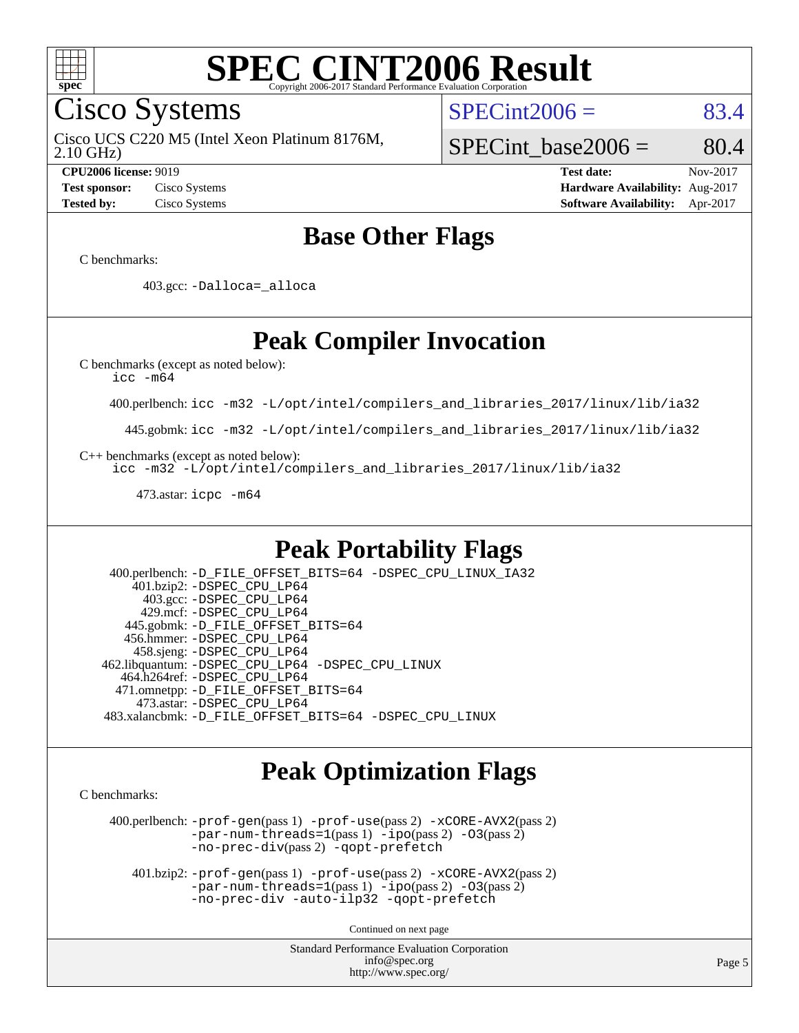

Cisco Systems

2.10 GHz) Cisco UCS C220 M5 (Intel Xeon Platinum 8176M,  $SPECint2006 = 83.4$  $SPECint2006 = 83.4$ 

**[Test sponsor:](http://www.spec.org/auto/cpu2006/Docs/result-fields.html#Testsponsor)** Cisco Systems **[Hardware Availability:](http://www.spec.org/auto/cpu2006/Docs/result-fields.html#HardwareAvailability)** Aug-2017 **[Tested by:](http://www.spec.org/auto/cpu2006/Docs/result-fields.html#Testedby)** Cisco Systems **[Software Availability:](http://www.spec.org/auto/cpu2006/Docs/result-fields.html#SoftwareAvailability)** Apr-2017

SPECint base2006 =  $80.4$ **[CPU2006 license:](http://www.spec.org/auto/cpu2006/Docs/result-fields.html#CPU2006license)** 9019 **[Test date:](http://www.spec.org/auto/cpu2006/Docs/result-fields.html#Testdate)** Nov-2017

**[Base Other Flags](http://www.spec.org/auto/cpu2006/Docs/result-fields.html#BaseOtherFlags)**

[C benchmarks](http://www.spec.org/auto/cpu2006/Docs/result-fields.html#Cbenchmarks):

403.gcc: [-Dalloca=\\_alloca](http://www.spec.org/cpu2006/results/res2017q4/cpu2006-20171128-50898.flags.html#b403.gcc_baseEXTRA_CFLAGS_Dalloca_be3056838c12de2578596ca5467af7f3)

## **[Peak Compiler Invocation](http://www.spec.org/auto/cpu2006/Docs/result-fields.html#PeakCompilerInvocation)**

[C benchmarks \(except as noted below\)](http://www.spec.org/auto/cpu2006/Docs/result-fields.html#Cbenchmarksexceptasnotedbelow):

[icc -m64](http://www.spec.org/cpu2006/results/res2017q4/cpu2006-20171128-50898.flags.html#user_CCpeak_intel_icc_64bit_bda6cc9af1fdbb0edc3795bac97ada53)

400.perlbench: [icc -m32 -L/opt/intel/compilers\\_and\\_libraries\\_2017/linux/lib/ia32](http://www.spec.org/cpu2006/results/res2017q4/cpu2006-20171128-50898.flags.html#user_peakCCLD400_perlbench_intel_icc_c29f3ff5a7ed067b11e4ec10a03f03ae)

445.gobmk: [icc -m32 -L/opt/intel/compilers\\_and\\_libraries\\_2017/linux/lib/ia32](http://www.spec.org/cpu2006/results/res2017q4/cpu2006-20171128-50898.flags.html#user_peakCCLD445_gobmk_intel_icc_c29f3ff5a7ed067b11e4ec10a03f03ae)

[C++ benchmarks \(except as noted below\):](http://www.spec.org/auto/cpu2006/Docs/result-fields.html#CXXbenchmarksexceptasnotedbelow)

[icc -m32 -L/opt/intel/compilers\\_and\\_libraries\\_2017/linux/lib/ia32](http://www.spec.org/cpu2006/results/res2017q4/cpu2006-20171128-50898.flags.html#user_CXXpeak_intel_icc_c29f3ff5a7ed067b11e4ec10a03f03ae)

473.astar: [icpc -m64](http://www.spec.org/cpu2006/results/res2017q4/cpu2006-20171128-50898.flags.html#user_peakCXXLD473_astar_intel_icpc_64bit_fc66a5337ce925472a5c54ad6a0de310)

## **[Peak Portability Flags](http://www.spec.org/auto/cpu2006/Docs/result-fields.html#PeakPortabilityFlags)**

 400.perlbench: [-D\\_FILE\\_OFFSET\\_BITS=64](http://www.spec.org/cpu2006/results/res2017q4/cpu2006-20171128-50898.flags.html#user_peakPORTABILITY400_perlbench_file_offset_bits_64_438cf9856305ebd76870a2c6dc2689ab) [-DSPEC\\_CPU\\_LINUX\\_IA32](http://www.spec.org/cpu2006/results/res2017q4/cpu2006-20171128-50898.flags.html#b400.perlbench_peakCPORTABILITY_DSPEC_CPU_LINUX_IA32) 401.bzip2: [-DSPEC\\_CPU\\_LP64](http://www.spec.org/cpu2006/results/res2017q4/cpu2006-20171128-50898.flags.html#suite_peakPORTABILITY401_bzip2_DSPEC_CPU_LP64) 403.gcc: [-DSPEC\\_CPU\\_LP64](http://www.spec.org/cpu2006/results/res2017q4/cpu2006-20171128-50898.flags.html#suite_peakPORTABILITY403_gcc_DSPEC_CPU_LP64) 429.mcf: [-DSPEC\\_CPU\\_LP64](http://www.spec.org/cpu2006/results/res2017q4/cpu2006-20171128-50898.flags.html#suite_peakPORTABILITY429_mcf_DSPEC_CPU_LP64) 445.gobmk: [-D\\_FILE\\_OFFSET\\_BITS=64](http://www.spec.org/cpu2006/results/res2017q4/cpu2006-20171128-50898.flags.html#user_peakPORTABILITY445_gobmk_file_offset_bits_64_438cf9856305ebd76870a2c6dc2689ab) 456.hmmer: [-DSPEC\\_CPU\\_LP64](http://www.spec.org/cpu2006/results/res2017q4/cpu2006-20171128-50898.flags.html#suite_peakPORTABILITY456_hmmer_DSPEC_CPU_LP64) 458.sjeng: [-DSPEC\\_CPU\\_LP64](http://www.spec.org/cpu2006/results/res2017q4/cpu2006-20171128-50898.flags.html#suite_peakPORTABILITY458_sjeng_DSPEC_CPU_LP64) 462.libquantum: [-DSPEC\\_CPU\\_LP64](http://www.spec.org/cpu2006/results/res2017q4/cpu2006-20171128-50898.flags.html#suite_peakPORTABILITY462_libquantum_DSPEC_CPU_LP64) [-DSPEC\\_CPU\\_LINUX](http://www.spec.org/cpu2006/results/res2017q4/cpu2006-20171128-50898.flags.html#b462.libquantum_peakCPORTABILITY_DSPEC_CPU_LINUX) 464.h264ref: [-DSPEC\\_CPU\\_LP64](http://www.spec.org/cpu2006/results/res2017q4/cpu2006-20171128-50898.flags.html#suite_peakPORTABILITY464_h264ref_DSPEC_CPU_LP64) 471.omnetpp: [-D\\_FILE\\_OFFSET\\_BITS=64](http://www.spec.org/cpu2006/results/res2017q4/cpu2006-20171128-50898.flags.html#user_peakPORTABILITY471_omnetpp_file_offset_bits_64_438cf9856305ebd76870a2c6dc2689ab) 473.astar: [-DSPEC\\_CPU\\_LP64](http://www.spec.org/cpu2006/results/res2017q4/cpu2006-20171128-50898.flags.html#suite_peakPORTABILITY473_astar_DSPEC_CPU_LP64) 483.xalancbmk: [-D\\_FILE\\_OFFSET\\_BITS=64](http://www.spec.org/cpu2006/results/res2017q4/cpu2006-20171128-50898.flags.html#user_peakPORTABILITY483_xalancbmk_file_offset_bits_64_438cf9856305ebd76870a2c6dc2689ab) [-DSPEC\\_CPU\\_LINUX](http://www.spec.org/cpu2006/results/res2017q4/cpu2006-20171128-50898.flags.html#b483.xalancbmk_peakCXXPORTABILITY_DSPEC_CPU_LINUX)

## **[Peak Optimization Flags](http://www.spec.org/auto/cpu2006/Docs/result-fields.html#PeakOptimizationFlags)**

[C benchmarks](http://www.spec.org/auto/cpu2006/Docs/result-fields.html#Cbenchmarks):

 400.perlbench: [-prof-gen](http://www.spec.org/cpu2006/results/res2017q4/cpu2006-20171128-50898.flags.html#user_peakPASS1_CFLAGSPASS1_LDCFLAGS400_perlbench_prof_gen_e43856698f6ca7b7e442dfd80e94a8fc)(pass 1) [-prof-use](http://www.spec.org/cpu2006/results/res2017q4/cpu2006-20171128-50898.flags.html#user_peakPASS2_CFLAGSPASS2_LDCFLAGS400_perlbench_prof_use_bccf7792157ff70d64e32fe3e1250b55)(pass 2) [-xCORE-AVX2](http://www.spec.org/cpu2006/results/res2017q4/cpu2006-20171128-50898.flags.html#user_peakPASS2_CFLAGSPASS2_LDCFLAGS400_perlbench_f-xCORE-AVX2)(pass 2) [-par-num-threads=1](http://www.spec.org/cpu2006/results/res2017q4/cpu2006-20171128-50898.flags.html#user_peakPASS1_CFLAGSPASS1_LDCFLAGS400_perlbench_par_num_threads_786a6ff141b4e9e90432e998842df6c2)(pass 1) [-ipo](http://www.spec.org/cpu2006/results/res2017q4/cpu2006-20171128-50898.flags.html#user_peakPASS2_CFLAGSPASS2_LDCFLAGS400_perlbench_f-ipo)(pass 2) [-O3](http://www.spec.org/cpu2006/results/res2017q4/cpu2006-20171128-50898.flags.html#user_peakPASS2_CFLAGSPASS2_LDCFLAGS400_perlbench_f-O3)(pass 2) [-no-prec-div](http://www.spec.org/cpu2006/results/res2017q4/cpu2006-20171128-50898.flags.html#user_peakPASS2_CFLAGSPASS2_LDCFLAGS400_perlbench_f-no-prec-div)(pass 2) [-qopt-prefetch](http://www.spec.org/cpu2006/results/res2017q4/cpu2006-20171128-50898.flags.html#user_peakCOPTIMIZE400_perlbench_f-qopt-prefetch)

 401.bzip2: [-prof-gen](http://www.spec.org/cpu2006/results/res2017q4/cpu2006-20171128-50898.flags.html#user_peakPASS1_CFLAGSPASS1_LDCFLAGS401_bzip2_prof_gen_e43856698f6ca7b7e442dfd80e94a8fc)(pass 1) [-prof-use](http://www.spec.org/cpu2006/results/res2017q4/cpu2006-20171128-50898.flags.html#user_peakPASS2_CFLAGSPASS2_LDCFLAGS401_bzip2_prof_use_bccf7792157ff70d64e32fe3e1250b55)(pass 2) [-xCORE-AVX2](http://www.spec.org/cpu2006/results/res2017q4/cpu2006-20171128-50898.flags.html#user_peakPASS2_CFLAGSPASS2_LDCFLAGS401_bzip2_f-xCORE-AVX2)(pass 2)  $-par-num-threads=1(pass 1) -ipo(pass 2) -O3(pass 2)$  $-par-num-threads=1(pass 1) -ipo(pass 2) -O3(pass 2)$  $-par-num-threads=1(pass 1) -ipo(pass 2) -O3(pass 2)$  $-par-num-threads=1(pass 1) -ipo(pass 2) -O3(pass 2)$  $-par-num-threads=1(pass 1) -ipo(pass 2) -O3(pass 2)$  $-par-num-threads=1(pass 1) -ipo(pass 2) -O3(pass 2)$ [-no-prec-div](http://www.spec.org/cpu2006/results/res2017q4/cpu2006-20171128-50898.flags.html#user_peakCOPTIMIZEPASS2_CFLAGSPASS2_LDCFLAGS401_bzip2_f-no-prec-div) [-auto-ilp32](http://www.spec.org/cpu2006/results/res2017q4/cpu2006-20171128-50898.flags.html#user_peakCOPTIMIZE401_bzip2_f-auto-ilp32) [-qopt-prefetch](http://www.spec.org/cpu2006/results/res2017q4/cpu2006-20171128-50898.flags.html#user_peakCOPTIMIZE401_bzip2_f-qopt-prefetch)

Continued on next page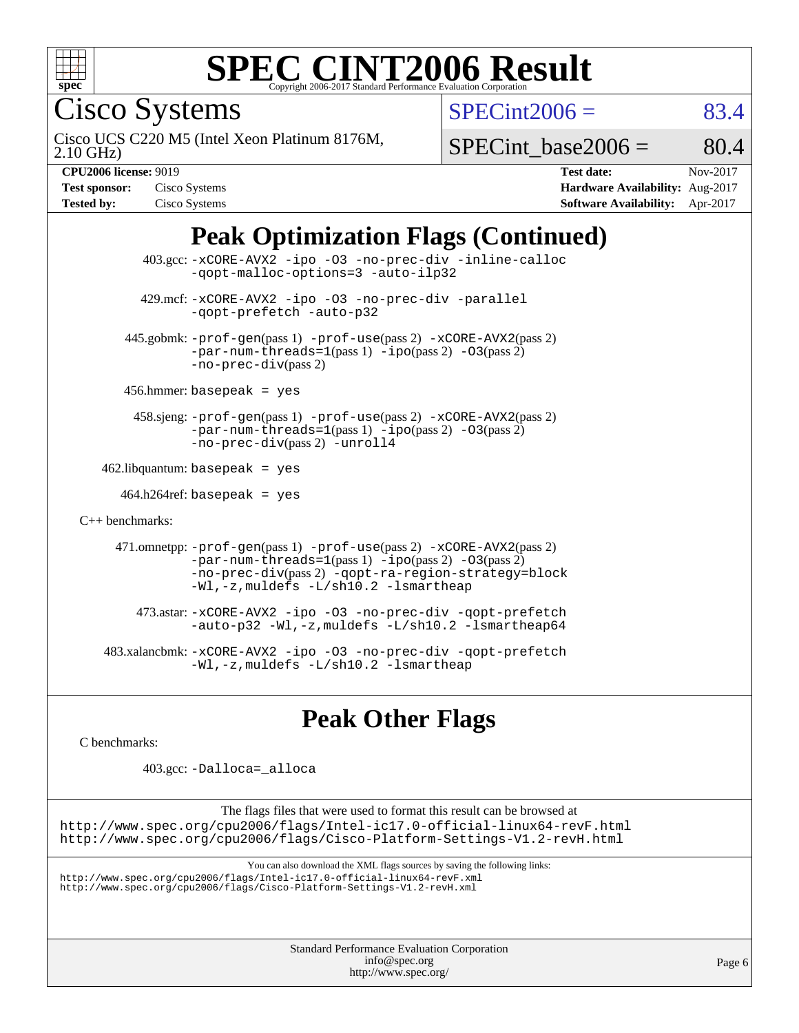

Cisco Systems

 $SPECint2006 = 83.4$  $SPECint2006 = 83.4$ 

2.10 GHz) Cisco UCS C220 M5 (Intel Xeon Platinum 8176M,

SPECint base2006 =  $80.4$ 

| <b>Test sponsor:</b> | Cisco Systems |
|----------------------|---------------|
| <b>Tested by:</b>    | Cisco Systems |

**[CPU2006 license:](http://www.spec.org/auto/cpu2006/Docs/result-fields.html#CPU2006license)** 9019 **[Test date:](http://www.spec.org/auto/cpu2006/Docs/result-fields.html#Testdate)** Nov-2017 **[Hardware Availability:](http://www.spec.org/auto/cpu2006/Docs/result-fields.html#HardwareAvailability)** Aug-2017 **[Software Availability:](http://www.spec.org/auto/cpu2006/Docs/result-fields.html#SoftwareAvailability)** Apr-2017

## **[Peak Optimization Flags \(Continued\)](http://www.spec.org/auto/cpu2006/Docs/result-fields.html#PeakOptimizationFlags)**

 403.gcc: [-xCORE-AVX2](http://www.spec.org/cpu2006/results/res2017q4/cpu2006-20171128-50898.flags.html#user_peakOPTIMIZE403_gcc_f-xCORE-AVX2) [-ipo](http://www.spec.org/cpu2006/results/res2017q4/cpu2006-20171128-50898.flags.html#user_peakOPTIMIZE403_gcc_f-ipo) [-O3](http://www.spec.org/cpu2006/results/res2017q4/cpu2006-20171128-50898.flags.html#user_peakOPTIMIZE403_gcc_f-O3) [-no-prec-div](http://www.spec.org/cpu2006/results/res2017q4/cpu2006-20171128-50898.flags.html#user_peakOPTIMIZE403_gcc_f-no-prec-div) [-inline-calloc](http://www.spec.org/cpu2006/results/res2017q4/cpu2006-20171128-50898.flags.html#user_peakCOPTIMIZE403_gcc_f-inline-calloc) [-qopt-malloc-options=3](http://www.spec.org/cpu2006/results/res2017q4/cpu2006-20171128-50898.flags.html#user_peakCOPTIMIZE403_gcc_f-qopt-malloc-options_0fcb435012e78f27d57f473818e45fe4) [-auto-ilp32](http://www.spec.org/cpu2006/results/res2017q4/cpu2006-20171128-50898.flags.html#user_peakCOPTIMIZE403_gcc_f-auto-ilp32) 429.mcf: [-xCORE-AVX2](http://www.spec.org/cpu2006/results/res2017q4/cpu2006-20171128-50898.flags.html#user_peakOPTIMIZE429_mcf_f-xCORE-AVX2) [-ipo](http://www.spec.org/cpu2006/results/res2017q4/cpu2006-20171128-50898.flags.html#user_peakOPTIMIZE429_mcf_f-ipo) [-O3](http://www.spec.org/cpu2006/results/res2017q4/cpu2006-20171128-50898.flags.html#user_peakOPTIMIZE429_mcf_f-O3) [-no-prec-div](http://www.spec.org/cpu2006/results/res2017q4/cpu2006-20171128-50898.flags.html#user_peakOPTIMIZE429_mcf_f-no-prec-div) [-parallel](http://www.spec.org/cpu2006/results/res2017q4/cpu2006-20171128-50898.flags.html#user_peakCOPTIMIZE429_mcf_f-parallel) [-qopt-prefetch](http://www.spec.org/cpu2006/results/res2017q4/cpu2006-20171128-50898.flags.html#user_peakCOPTIMIZE429_mcf_f-qopt-prefetch) [-auto-p32](http://www.spec.org/cpu2006/results/res2017q4/cpu2006-20171128-50898.flags.html#user_peakCOPTIMIZE429_mcf_f-auto-p32) 445.gobmk: [-prof-gen](http://www.spec.org/cpu2006/results/res2017q4/cpu2006-20171128-50898.flags.html#user_peakPASS1_CFLAGSPASS1_LDCFLAGS445_gobmk_prof_gen_e43856698f6ca7b7e442dfd80e94a8fc)(pass 1) [-prof-use](http://www.spec.org/cpu2006/results/res2017q4/cpu2006-20171128-50898.flags.html#user_peakPASS2_CFLAGSPASS2_LDCFLAGS445_gobmk_prof_use_bccf7792157ff70d64e32fe3e1250b55)(pass 2) [-xCORE-AVX2](http://www.spec.org/cpu2006/results/res2017q4/cpu2006-20171128-50898.flags.html#user_peakPASS2_CFLAGSPASS2_LDCFLAGS445_gobmk_f-xCORE-AVX2)(pass 2)  $-par-num-threads=1(pass 1) -ipo(pass 2) -O3(pass 2)$  $-par-num-threads=1(pass 1) -ipo(pass 2) -O3(pass 2)$  $-par-num-threads=1(pass 1) -ipo(pass 2) -O3(pass 2)$  $-par-num-threads=1(pass 1) -ipo(pass 2) -O3(pass 2)$  $-par-num-threads=1(pass 1) -ipo(pass 2) -O3(pass 2)$  $-par-num-threads=1(pass 1) -ipo(pass 2) -O3(pass 2)$ [-no-prec-div](http://www.spec.org/cpu2006/results/res2017q4/cpu2006-20171128-50898.flags.html#user_peakPASS2_CFLAGSPASS2_LDCFLAGS445_gobmk_f-no-prec-div)(pass 2) 456.hmmer: basepeak = yes 458.sjeng: [-prof-gen](http://www.spec.org/cpu2006/results/res2017q4/cpu2006-20171128-50898.flags.html#user_peakPASS1_CFLAGSPASS1_LDCFLAGS458_sjeng_prof_gen_e43856698f6ca7b7e442dfd80e94a8fc)(pass 1) [-prof-use](http://www.spec.org/cpu2006/results/res2017q4/cpu2006-20171128-50898.flags.html#user_peakPASS2_CFLAGSPASS2_LDCFLAGS458_sjeng_prof_use_bccf7792157ff70d64e32fe3e1250b55)(pass 2) [-xCORE-AVX2](http://www.spec.org/cpu2006/results/res2017q4/cpu2006-20171128-50898.flags.html#user_peakPASS2_CFLAGSPASS2_LDCFLAGS458_sjeng_f-xCORE-AVX2)(pass 2) [-par-num-threads=1](http://www.spec.org/cpu2006/results/res2017q4/cpu2006-20171128-50898.flags.html#user_peakPASS1_CFLAGSPASS1_LDCFLAGS458_sjeng_par_num_threads_786a6ff141b4e9e90432e998842df6c2)(pass 1) [-ipo](http://www.spec.org/cpu2006/results/res2017q4/cpu2006-20171128-50898.flags.html#user_peakPASS2_CFLAGSPASS2_LDCFLAGS458_sjeng_f-ipo)(pass 2) [-O3](http://www.spec.org/cpu2006/results/res2017q4/cpu2006-20171128-50898.flags.html#user_peakPASS2_CFLAGSPASS2_LDCFLAGS458_sjeng_f-O3)(pass 2) [-no-prec-div](http://www.spec.org/cpu2006/results/res2017q4/cpu2006-20171128-50898.flags.html#user_peakPASS2_CFLAGSPASS2_LDCFLAGS458_sjeng_f-no-prec-div)(pass 2) [-unroll4](http://www.spec.org/cpu2006/results/res2017q4/cpu2006-20171128-50898.flags.html#user_peakCOPTIMIZE458_sjeng_f-unroll_4e5e4ed65b7fd20bdcd365bec371b81f)  $462$ .libquantum: basepeak = yes  $464.h264$ ref: basepeak = yes [C++ benchmarks:](http://www.spec.org/auto/cpu2006/Docs/result-fields.html#CXXbenchmarks) 471.omnetpp: [-prof-gen](http://www.spec.org/cpu2006/results/res2017q4/cpu2006-20171128-50898.flags.html#user_peakPASS1_CXXFLAGSPASS1_LDCXXFLAGS471_omnetpp_prof_gen_e43856698f6ca7b7e442dfd80e94a8fc)(pass 1) [-prof-use](http://www.spec.org/cpu2006/results/res2017q4/cpu2006-20171128-50898.flags.html#user_peakPASS2_CXXFLAGSPASS2_LDCXXFLAGS471_omnetpp_prof_use_bccf7792157ff70d64e32fe3e1250b55)(pass 2) [-xCORE-AVX2](http://www.spec.org/cpu2006/results/res2017q4/cpu2006-20171128-50898.flags.html#user_peakPASS2_CXXFLAGSPASS2_LDCXXFLAGS471_omnetpp_f-xCORE-AVX2)(pass 2)  $-par-num-threads=1(pass 1) -ipo(pass 2) -O3(pass 2)$  $-par-num-threads=1(pass 1) -ipo(pass 2) -O3(pass 2)$  $-par-num-threads=1(pass 1) -ipo(pass 2) -O3(pass 2)$  $-par-num-threads=1(pass 1) -ipo(pass 2) -O3(pass 2)$  $-par-num-threads=1(pass 1) -ipo(pass 2) -O3(pass 2)$  $-par-num-threads=1(pass 1) -ipo(pass 2) -O3(pass 2)$ [-no-prec-div](http://www.spec.org/cpu2006/results/res2017q4/cpu2006-20171128-50898.flags.html#user_peakPASS2_CXXFLAGSPASS2_LDCXXFLAGS471_omnetpp_f-no-prec-div)(pass 2) [-qopt-ra-region-strategy=block](http://www.spec.org/cpu2006/results/res2017q4/cpu2006-20171128-50898.flags.html#user_peakCXXOPTIMIZE471_omnetpp_f-qopt-ra-region-strategy_0f7b543d62da454b380160c0e3b28f94) [-Wl,-z,muldefs](http://www.spec.org/cpu2006/results/res2017q4/cpu2006-20171128-50898.flags.html#user_peakEXTRA_LDFLAGS471_omnetpp_link_force_multiple1_74079c344b956b9658436fd1b6dd3a8a) [-L/sh10.2 -lsmartheap](http://www.spec.org/cpu2006/results/res2017q4/cpu2006-20171128-50898.flags.html#user_peakEXTRA_LIBS471_omnetpp_SmartHeap_b831f2d313e2fffa6dfe3f00ffc1f1c0) 473.astar: [-xCORE-AVX2](http://www.spec.org/cpu2006/results/res2017q4/cpu2006-20171128-50898.flags.html#user_peakOPTIMIZE473_astar_f-xCORE-AVX2) [-ipo](http://www.spec.org/cpu2006/results/res2017q4/cpu2006-20171128-50898.flags.html#user_peakOPTIMIZE473_astar_f-ipo) [-O3](http://www.spec.org/cpu2006/results/res2017q4/cpu2006-20171128-50898.flags.html#user_peakOPTIMIZE473_astar_f-O3) [-no-prec-div](http://www.spec.org/cpu2006/results/res2017q4/cpu2006-20171128-50898.flags.html#user_peakOPTIMIZE473_astar_f-no-prec-div) [-qopt-prefetch](http://www.spec.org/cpu2006/results/res2017q4/cpu2006-20171128-50898.flags.html#user_peakCXXOPTIMIZE473_astar_f-qopt-prefetch) [-auto-p32](http://www.spec.org/cpu2006/results/res2017q4/cpu2006-20171128-50898.flags.html#user_peakCXXOPTIMIZE473_astar_f-auto-p32) [-Wl,-z,muldefs](http://www.spec.org/cpu2006/results/res2017q4/cpu2006-20171128-50898.flags.html#user_peakEXTRA_LDFLAGS473_astar_link_force_multiple1_74079c344b956b9658436fd1b6dd3a8a) [-L/sh10.2 -lsmartheap64](http://www.spec.org/cpu2006/results/res2017q4/cpu2006-20171128-50898.flags.html#user_peakEXTRA_LIBS473_astar_SmartHeap64_63911d860fc08c15fa1d5bf319b9d8d5) 483.xalancbmk: [-xCORE-AVX2](http://www.spec.org/cpu2006/results/res2017q4/cpu2006-20171128-50898.flags.html#user_peakOPTIMIZE483_xalancbmk_f-xCORE-AVX2) [-ipo](http://www.spec.org/cpu2006/results/res2017q4/cpu2006-20171128-50898.flags.html#user_peakOPTIMIZE483_xalancbmk_f-ipo) [-O3](http://www.spec.org/cpu2006/results/res2017q4/cpu2006-20171128-50898.flags.html#user_peakOPTIMIZE483_xalancbmk_f-O3) [-no-prec-div](http://www.spec.org/cpu2006/results/res2017q4/cpu2006-20171128-50898.flags.html#user_peakOPTIMIZE483_xalancbmk_f-no-prec-div) [-qopt-prefetch](http://www.spec.org/cpu2006/results/res2017q4/cpu2006-20171128-50898.flags.html#user_peakCXXOPTIMIZE483_xalancbmk_f-qopt-prefetch) [-Wl,-z,muldefs](http://www.spec.org/cpu2006/results/res2017q4/cpu2006-20171128-50898.flags.html#user_peakEXTRA_LDFLAGS483_xalancbmk_link_force_multiple1_74079c344b956b9658436fd1b6dd3a8a) [-L/sh10.2 -lsmartheap](http://www.spec.org/cpu2006/results/res2017q4/cpu2006-20171128-50898.flags.html#user_peakEXTRA_LIBS483_xalancbmk_SmartHeap_b831f2d313e2fffa6dfe3f00ffc1f1c0)

**[Peak Other Flags](http://www.spec.org/auto/cpu2006/Docs/result-fields.html#PeakOtherFlags)**

[C benchmarks](http://www.spec.org/auto/cpu2006/Docs/result-fields.html#Cbenchmarks):

403.gcc: [-Dalloca=\\_alloca](http://www.spec.org/cpu2006/results/res2017q4/cpu2006-20171128-50898.flags.html#b403.gcc_peakEXTRA_CFLAGS_Dalloca_be3056838c12de2578596ca5467af7f3)

The flags files that were used to format this result can be browsed at <http://www.spec.org/cpu2006/flags/Intel-ic17.0-official-linux64-revF.html> <http://www.spec.org/cpu2006/flags/Cisco-Platform-Settings-V1.2-revH.html>

You can also download the XML flags sources by saving the following links:

<http://www.spec.org/cpu2006/flags/Intel-ic17.0-official-linux64-revF.xml> <http://www.spec.org/cpu2006/flags/Cisco-Platform-Settings-V1.2-revH.xml>